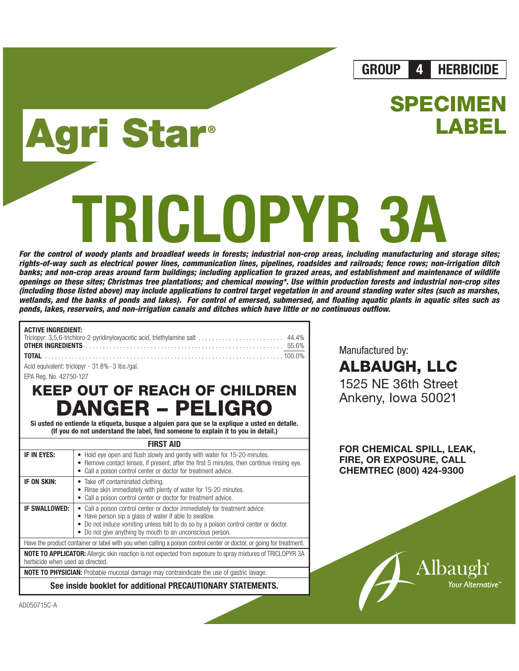**GROUP 4 HERBICIDE**

**SPECIME** 

**LABEL**

# ri Star®

# **RICLOPYR**

**For the control of woody plants and broadleaf weeds in forests; industrial non-crop areas, including manufacturing and storage sites; rights-of-way such as electrical power lines, communication lines, pipelines, roadsides and railroads; fence rows; non-irrigation ditch banks; and non-crop areas around farm buildings; including application to grazed areas, and establishment and maintenance of wildlife openings on these sites; Christmas tree plantations; and chemical mowing\*. Use within production forests and industrial non-crop sites (including those listed above) may include applications to control target vegetation in and around standing water sites (such as marshes, wetlands, and the banks of ponds and lakes). For control of emersed, submersed, and floating aquatic plants in aquatic sites such as ponds, lakes, reservoirs, and non-irrigation canals and ditches which have little or no continuous outflow.**

| ACTIVE INGREDIENT: |  |
|--------------------|--|
|                    |  |
|                    |  |
|                    |  |

Acid equivalent: triclopyr - 31.8%-3 lbs./gal.

EPA Reg. No. 42750-127

# **KEEP OUT OF REACH OF CHILDREN DANGER – PELIGRO**

**Si usted no entiende la etiqueta, busque a alguien para que se la explique a usted en detalle. (If you do not understand the label, find someone to explain it to you in detail.)**

### **FIRST AID**

| IF IN EYES:                                                                                                                                           | • Hold eye open and flush slowly and gently with water for 15-20 minutes.<br>• Remove contact lenses, if present, after the first 5 minutes, then continue rinsing eye.<br>Call a poison control center or doctor for treatment advice.                                                |  |  |  |
|-------------------------------------------------------------------------------------------------------------------------------------------------------|----------------------------------------------------------------------------------------------------------------------------------------------------------------------------------------------------------------------------------------------------------------------------------------|--|--|--|
| IF ON SKIN:                                                                                                                                           | • Take off contaminated clothing.<br>Rinse skin immediately with plenty of water for 15-20 minutes.<br>Call a poison control center or doctor for treatment advice.                                                                                                                    |  |  |  |
| <b>IF SWALLOWED:</b>                                                                                                                                  | • Call a poison control center or doctor immediately for treatment advice.<br>• Have person sip a glass of water if able to swallow.<br>• Do not induce vomiting unless told to do so by a poison control center or doctor.<br>Do not give anything by mouth to an unconscious person. |  |  |  |
|                                                                                                                                                       | Have the product container or label with you when calling a poison control center or doctor, or going for treatment.                                                                                                                                                                   |  |  |  |
| <b>NOTE TO APPLICATOR:</b> Allergic skin reaction is not expected from exposure to spray mixtures of TRICLOPYR 3A<br>herbicide when used as directed. |                                                                                                                                                                                                                                                                                        |  |  |  |
| <b>NOTE TO PHYSICIAN:</b> Probable mucosal damage may contraindicate the use of gastric lavage.                                                       |                                                                                                                                                                                                                                                                                        |  |  |  |
|                                                                                                                                                       | See inside booklet for additional PRECAUTIONARY STATEMENTS.                                                                                                                                                                                                                            |  |  |  |

Manufactured by:

**ALBAUGH, LLC** 1525 NE 36th Street Ankeny, Iowa 50021

**FOR CHEMICAL SPILL, LEAK, FIRE, OR EXPOSURE, CALL CHEMTREC (800) 424-9300**



AD050715C-A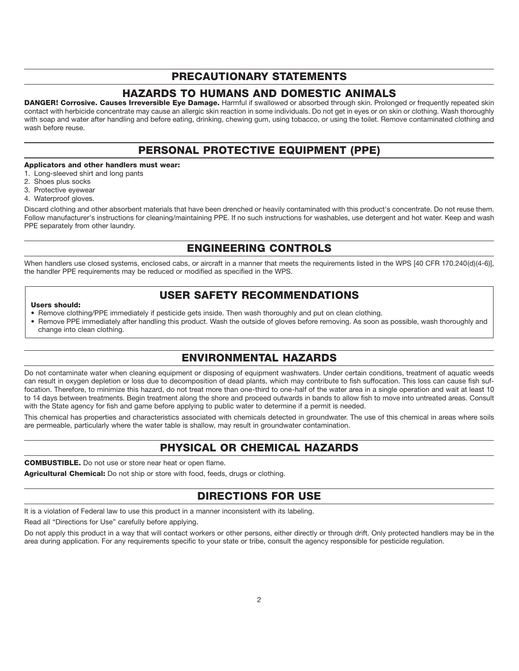# **PRECAUTIONARY STATEMENTS**

# **HAZARDS TO HUMANS AND DOMESTIC ANIMALS**

**DANGER! Corrosive. Causes Irreversible Eye Damage.** Harmful if swallowed or absorbed through skin. Prolonged or frequently repeated skin contact with herbicide concentrate may cause an allergic skin reaction in some individuals. Do not get in eyes or on skin or clothing. Wash thoroughly with soap and water after handling and before eating, drinking, chewing gum, using tobacco, or using the toilet. Remove contaminated clothing and wash before reuse.

# **PERSONAL PROTECTIVE EQUIPMENT (PPE)**

### **Applicators and other handlers must wear:**

- 1. Long-sleeved shirt and long pants
- 2. Shoes plus socks
- 3. Protective eyewear
- 4. Waterproof gloves.

Discard clothing and other absorbent materials that have been drenched or heavily contaminated with this product's concentrate. Do not reuse them. Follow manufacturer's instructions for cleaning/maintaining PPE. If no such instructions for washables, use detergent and hot water. Keep and wash PPE separately from other laundry.

# **ENGINEERING CONTROLS**

When handlers use closed systems, enclosed cabs, or aircraft in a manner that meets the requirements listed in the WPS [40 CFR 170.240(d)(4-6)], the handler PPE requirements may be reduced or modified as specified in the WPS.

# **USER SAFETY RECOMMENDATIONS**

### **Users should:**

- Remove clothing/PPE immediately if pesticide gets inside. Then wash thoroughly and put on clean clothing.
- Remove PPE immediately after handling this product. Wash the outside of gloves before removing. As soon as possible, wash thoroughly and change into clean clothing.

# **ENVIRONMENTAL HAZARDS**

Do not contaminate water when cleaning equipment or disposing of equipment washwaters. Under certain conditions, treatment of aquatic weeds can result in oxygen depletion or loss due to decomposition of dead plants, which may contribute to fish suffocation. This loss can cause fish suffocation. Therefore, to minimize this hazard, do not treat more than one-third to one-half of the water area in a single operation and wait at least 10 to 14 days between treatments. Begin treatment along the shore and proceed outwards in bands to allow fish to move into untreated areas. Consult with the State agency for fish and game before applying to public water to determine if a permit is needed.

This chemical has properties and characteristics associated with chemicals detected in groundwater. The use of this chemical in areas where soils are permeable, particularly where the water table is shallow, may result in groundwater contamination.

# **PHYSICAL OR CHEMICAL HAZARDS**

**COMBUSTIBLE.** Do not use or store near heat or open flame.

**Agricultural Chemical:** Do not ship or store with food, feeds, drugs or clothing.

# **DIRECTIONS FOR USE**

It is a violation of Federal law to use this product in a manner inconsistent with its labeling.

Read all "Directions for Use" carefully before applying.

Do not apply this product in a way that will contact workers or other persons, either directly or through drift. Only protected handlers may be in the area during application. For any requirements specific to your state or tribe, consult the agency responsible for pesticide regulation.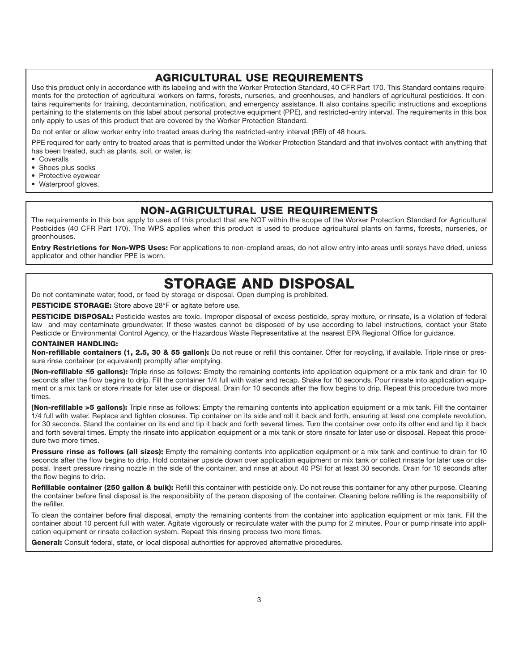# **AGRICULTURAL USE REQUIREMENTS**

Use this product only in accordance with its labeling and with the Worker Protection Standard, 40 CFR Part 170. This Standard contains requirements for the protection of agricultural workers on farms, forests, nurseries, and greenhouses, and handlers of agricultural pesticides. It contains requirements for training, decontamination, notification, and emergency assistance. It also contains specific instructions and exceptions pertaining to the statements on this label about personal protective equipment (PPE), and restricted-entry interval. The requirements in this box only apply to uses of this product that are covered by the Worker Protection Standard.

Do not enter or allow worker entry into treated areas during the restricted-entry interval (REI) of 48 hours.

PPE required for early entry to treated areas that is permitted under the Worker Protection Standard and that involves contact with anything that has been treated, such as plants, soil, or water, is:

- Coveralls
- Shoes plus socks
- Protective eyewear
- Waterproof gloves.

# **NON-AGRICULTURAL USE REQUIREMENTS**

The requirements in this box apply to uses of this product that are NOT within the scope of the Worker Protection Standard for Agricultural Pesticides (40 CFR Part 170). The WPS applies when this product is used to produce agricultural plants on farms, forests, nurseries, or greenhouses.

**Entry Restrictions for Non-WPS Uses:** For applications to non-cropland areas, do not allow entry into areas until sprays have dried, unless applicator and other handler PPE is worn.

# **STORAGE AND DISPOSAL**

Do not contaminate water, food, or feed by storage or disposal. Open dumping is prohibited.

**PESTICIDE STORAGE:** Store above 28°F or agitate before use.

PESTICIDE DISPOSAL: Pesticide wastes are toxic. Improper disposal of excess pesticide, spray mixture, or rinsate, is a violation of federal law and may contaminate groundwater. If these wastes cannot be disposed of by use according to label instructions, contact your State Pesticide or Environmental Control Agency, or the Hazardous Waste Representative at the nearest EPA Regional Office for guidance.

### **CONTAINER HANDLING:**

**Non-refillable containers (1, 2.5, 30 & 55 gallon):** Do not reuse or refill this container. Offer for recycling, if available. Triple rinse or pressure rinse container (or equivalent) promptly after emptying.

**(Non-refillable ≤5 gallons):** Triple rinse as follows: Empty the remaining contents into application equipment or a mix tank and drain for 10 seconds after the flow begins to drip. Fill the container 1/4 full with water and recap. Shake for 10 seconds. Pour rinsate into application equipment or a mix tank or store rinsate for later use or disposal. Drain for 10 seconds after the flow begins to drip. Repeat this procedure two more times.

**(Non-refillable >5 gallons):** Triple rinse as follows: Empty the remaining contents into application equipment or a mix tank. Fill the container 1/4 full with water. Replace and tighten closures. Tip container on its side and roll it back and forth, ensuring at least one complete revolution, for 30 seconds. Stand the container on its end and tip it back and forth several times. Turn the container over onto its other end and tip it back and forth several times. Empty the rinsate into application equipment or a mix tank or store rinsate for later use or disposal. Repeat this procedure two more times.

**Pressure rinse as follows (all sizes):** Empty the remaining contents into application equipment or a mix tank and continue to drain for 10 seconds after the flow begins to drip. Hold container upside down over application equipment or mix tank or collect rinsate for later use or disposal. Insert pressure rinsing nozzle in the side of the container, and rinse at about 40 PSI for at least 30 seconds. Drain for 10 seconds after the flow begins to drip.

**Refillable container (250 gallon & bulk):** Refill this container with pesticide only. Do not reuse this container for any other purpose. Cleaning the container before final disposal is the responsibility of the person disposing of the container. Cleaning before refilling is the responsibility of the refiller.

To clean the container before final disposal, empty the remaining contents from the container into application equipment or mix tank. Fill the container about 10 percent full with water. Agitate vigorously or recirculate water with the pump for 2 minutes. Pour or pump rinsate into application equipment or rinsate collection system. Repeat this rinsing process two more times.

**General:** Consult federal, state, or local disposal authorities for approved alternative procedures.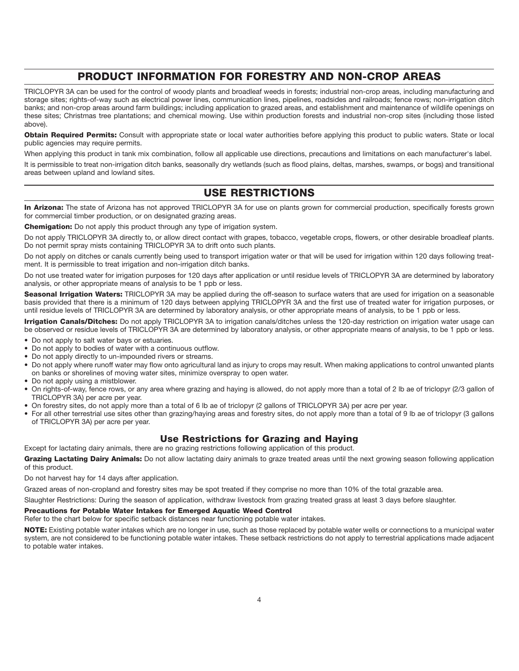# **PRODUCT INFORMATION FOR FORESTRY AND NON-CROP AREAS**

TRICLOPYR 3A can be used for the control of woody plants and broadleaf weeds in forests; industrial non-crop areas, including manufacturing and storage sites; rights-of-way such as electrical power lines, communication lines, pipelines, roadsides and railroads; fence rows; non-irrigation ditch banks; and non-crop areas around farm buildings; including application to grazed areas, and establishment and maintenance of wildlife openings on these sites; Christmas tree plantations; and chemical mowing. Use within production forests and industrial non-crop sites (including those listed above).

**Obtain Required Permits:** Consult with appropriate state or local water authorities before applying this product to public waters. State or local public agencies may require permits.

When applying this product in tank mix combination, follow all applicable use directions, precautions and limitations on each manufacturer's label.

It is permissible to treat non-irrigation ditch banks, seasonally dry wetlands (such as flood plains, deltas, marshes, swamps, or bogs) and transitional areas between upland and lowland sites.

# **USE RESTRICTIONS**

**In Arizona:** The state of Arizona has not approved TRICLOPYR 3A for use on plants grown for commercial production, specifically forests grown for commercial timber production, or on designated grazing areas.

**Chemigation:** Do not apply this product through any type of irrigation system.

Do not apply TRICLOPYR 3A directly to, or allow direct contact with grapes, tobacco, vegetable crops, flowers, or other desirable broadleaf plants. Do not permit spray mists containing TRICLOPYR 3A to drift onto such plants.

Do not apply on ditches or canals currently being used to transport irrigation water or that will be used for irrigation within 120 days following treatment. It is permissible to treat irrigation and non-irrigation ditch banks.

Do not use treated water for irrigation purposes for 120 days after application or until residue levels of TRICLOPYR 3A are determined by laboratory analysis, or other appropriate means of analysis to be 1 ppb or less.

**Seasonal Irrigation Waters:** TRICLOPYR 3A may be applied during the off-season to surface waters that are used for irrigation on a seasonable basis provided that there is a minimum of 120 days between applying TRICLOPYR 3A and the first use of treated water for irrigation purposes, or until residue levels of TRICLOPYR 3A are determined by laboratory analysis, or other appropriate means of analysis, to be 1 ppb or less.

**Irrigation Canals/Ditches:** Do not apply TRICLOPYR 3A to irrigation canals/ditches unless the 120-day restriction on irrigation water usage can be observed or residue levels of TRICLOPYR 3A are determined by laboratory analysis, or other appropriate means of analysis, to be 1 ppb or less.

- Do not apply to salt water bays or estuaries.
- Do not apply to bodies of water with a continuous outflow.
- Do not apply directly to un-impounded rivers or streams.
- Do not apply where runoff water may flow onto agricultural land as injury to crops may result. When making applications to control unwanted plants on banks or shorelines of moving water sites, minimize overspray to open water.
- Do not apply using a mistblower.
- On rights-of-way, fence rows, or any area where grazing and haying is allowed, do not apply more than a total of 2 lb ae of triclopyr (2/3 gallon of TRICLOPYR 3A) per acre per year.
- On forestry sites, do not apply more than a total of 6 lb ae of triclopyr (2 gallons of TRICLOPYR 3A) per acre per year.
- For all other terrestrial use sites other than grazing/haying areas and forestry sites, do not apply more than a total of 9 lb ae of triclopyr (3 gallons of TRICLOPYR 3A) per acre per year.

# **Use Restrictions for Grazing and Haying**

Except for lactating dairy animals, there are no grazing restrictions following application of this product.

**Grazing Lactating Dairy Animals:** Do not allow lactating dairy animals to graze treated areas until the next growing season following application of this product.

Do not harvest hay for 14 days after application.

Grazed areas of non-cropland and forestry sites may be spot treated if they comprise no more than 10% of the total grazable area.

Slaughter Restrictions: During the season of application, withdraw livestock from grazing treated grass at least 3 days before slaughter.

### **Precautions for Potable Water Intakes for Emerged Aquatic Weed Control**

Refer to the chart below for specific setback distances near functioning potable water intakes.

**NOTE:** Existing potable water intakes which are no longer in use, such as those replaced by potable water wells or connections to a municipal water system, are not considered to be functioning potable water intakes. These setback restrictions do not apply to terrestrial applications made adjacent to potable water intakes.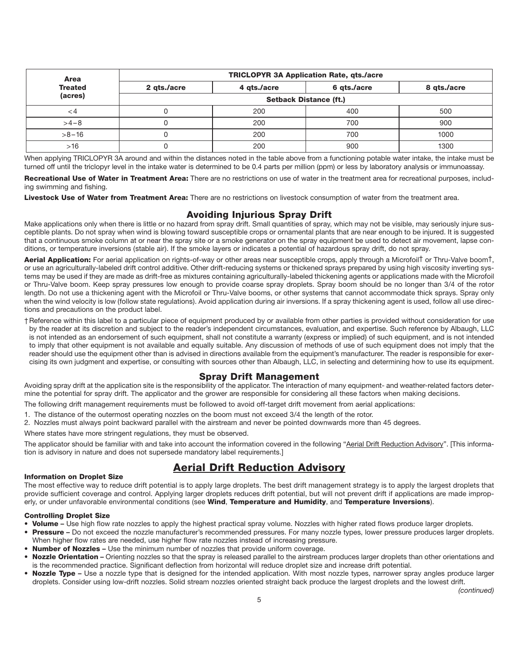| Area           | <b>TRICLOPYR 3A Application Rate, gts./acre</b> |             |             |             |  |  |  |
|----------------|-------------------------------------------------|-------------|-------------|-------------|--|--|--|
| <b>Treated</b> | 2 gts./acre                                     | 4 gts./acre | 6 qts./acre | 8 gts./acre |  |  |  |
| (acres)        | <b>Setback Distance (ft.)</b>                   |             |             |             |  |  |  |
| ⊂4             | u                                               | 200         | 400         | 500         |  |  |  |
| $>4-8$         | U                                               | 200         | 700         | 900         |  |  |  |
| $>8 - 16$      |                                                 | 200         | 700         | 1000        |  |  |  |
| >16            |                                                 | 200         | 900         | 1300        |  |  |  |

When applying TRICLOPYR 3A around and within the distances noted in the table above from a functioning potable water intake, the intake must be turned off until the triclopyr level in the intake water is determined to be 0.4 parts per million (ppm) or less by laboratory analysis or immunoassay.

**Recreational Use of Water in Treatment Area:** There are no restrictions on use of water in the treatment area for recreational purposes, including swimming and fishing.

**Livestock Use of Water from Treatment Area:** There are no restrictions on livestock consumption of water from the treatment area.

### **Avoiding Injurious Spray Drift**

Make applications only when there is little or no hazard from spray drift. Small quantities of spray, which may not be visible, may seriously injure susceptible plants. Do not spray when wind is blowing toward susceptible crops or ornamental plants that are near enough to be injured. It is suggested that a continuous smoke column at or near the spray site or a smoke generator on the spray equipment be used to detect air movement, lapse conditions, or temperature inversions (stable air). If the smoke layers or indicates a potential of hazardous spray drift, do not spray.

**Aerial Application:** For aerial application on rights-of-way or other areas near susceptible crops, apply through a Microfoil† or Thru-Valve boom†, or use an agriculturally-labeled drift control additive. Other drift-reducing systems or thickened sprays prepared by using high viscosity inverting systems may be used if they are made as drift-free as mixtures containing agriculturally-labeled thickening agents or applications made with the Microfoil or Thru-Valve boom. Keep spray pressures low enough to provide coarse spray droplets. Spray boom should be no longer than 3/4 of the rotor length. Do not use a thickening agent with the Microfoil or Thru-Valve booms, or other systems that cannot accommodate thick sprays. Spray only when the wind velocity is low (follow state regulations). Avoid application during air inversions. If a spray thickening agent is used, follow all use directions and precautions on the product label.

†Reference within this label to a particular piece of equipment produced by or available from other parties is provided without consideration for use by the reader at its discretion and subject to the reader's independent circumstances, evaluation, and expertise. Such reference by Albaugh, LLC is not intended as an endorsement of such equipment, shall not constitute a warranty (express or implied) of such equipment, and is not intended to imply that other equipment is not available and equally suitable. Any discussion of methods of use of such equipment does not imply that the reader should use the equipment other than is advised in directions available from the equipment's manufacturer. The reader is responsible for exercising its own judgment and expertise, or consulting with sources other than Albaugh, LLC, in selecting and determining how to use its equipment.

### **Spray Drift Management**

Avoiding spray drift at the application site is the responsibility of the applicator. The interaction of many equipment- and weather-related factors determine the potential for spray drift. The applicator and the grower are responsible for considering all these factors when making decisions.

The following drift management requirements must be followed to avoid off-target drift movement from aerial applications:

- 1. The distance of the outermost operating nozzles on the boom must not exceed 3/4 the length of the rotor.
- 2. Nozzles must always point backward parallel with the airstream and never be pointed downwards more than 45 degrees.

Where states have more stringent regulations, they must be observed.

The applicator should be familiar with and take into account the information covered in the following "Aerial Drift Reduction Advisory". [This information is advisory in nature and does not supersede mandatory label requirements.]

# **Aerial Drift Reduction Advisory**

### **Information on Droplet Size**

The most effective way to reduce drift potential is to apply large droplets. The best drift management strategy is to apply the largest droplets that provide sufficient coverage and control. Applying larger droplets reduces drift potential, but will not prevent drift if applications are made improperly, or under unfavorable environmental conditions (see **Wind**, **Temperature and Humidity**, and **Temperature Inversions**).

### **Controlling Droplet Size**

- **Volume** Use high flow rate nozzles to apply the highest practical spray volume. Nozzles with higher rated flows produce larger droplets.
- **Pressure** Do not exceed the nozzle manufacturer's recommended pressures. For many nozzle types, lower pressure produces larger droplets. When higher flow rates are needed, use higher flow rate nozzles instead of increasing pressure.
- **Number of Nozzles** Use the minimum number of nozzles that provide uniform coverage.
- **Nozzle Orientation** Orienting nozzles so that the spray is released parallel to the airstream produces larger droplets than other orientations and is the recommended practice. Significant deflection from horizontal will reduce droplet size and increase drift potential.
- **Nozzle Type** Use a nozzle type that is designed for the intended application. With most nozzle types, narrower spray angles produce larger droplets. Consider using low-drift nozzles. Solid stream nozzles oriented straight back produce the largest droplets and the lowest drift.

*(continued)*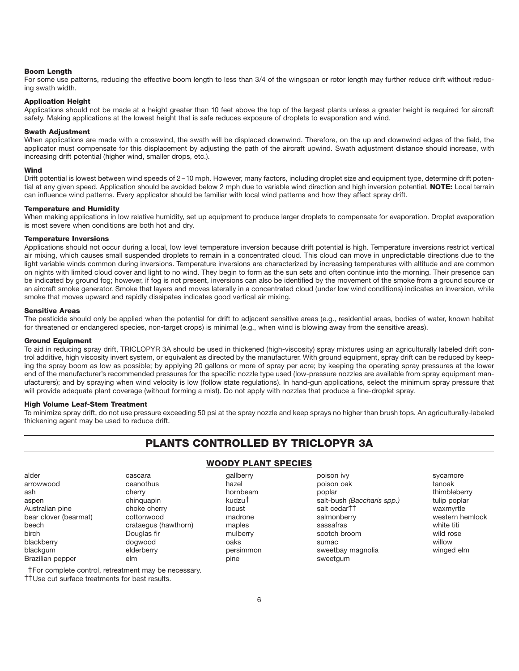### **Boom Length**

For some use patterns, reducing the effective boom length to less than 3/4 of the wingspan or rotor length may further reduce drift without reducing swath width.

### **Application Height**

Applications should not be made at a height greater than 10 feet above the top of the largest plants unless a greater height is required for aircraft safety. Making applications at the lowest height that is safe reduces exposure of droplets to evaporation and wind.

### **Swath Adjustment**

When applications are made with a crosswind, the swath will be displaced downwind. Therefore, on the up and downwind edges of the field, the applicator must compensate for this displacement by adjusting the path of the aircraft upwind. Swath adjustment distance should increase, with increasing drift potential (higher wind, smaller drops, etc.).

### **Wind**

Drift potential is lowest between wind speeds of 2 –10 mph. However, many factors, including droplet size and equipment type, determine drift potential at any given speed. Application should be avoided below 2 mph due to variable wind direction and high inversion potential. **NOTE:** Local terrain can influence wind patterns. Every applicator should be familiar with local wind patterns and how they affect spray drift.

### **Temperature and Humidity**

When making applications in low relative humidity, set up equipment to produce larger droplets to compensate for evaporation. Droplet evaporation is most severe when conditions are both hot and dry.

### **Temperature Inversions**

Applications should not occur during a local, low level temperature inversion because drift potential is high. Temperature inversions restrict vertical air mixing, which causes small suspended droplets to remain in a concentrated cloud. This cloud can move in unpredictable directions due to the light variable winds common during inversions. Temperature inversions are characterized by increasing temperatures with altitude and are common on nights with limited cloud cover and light to no wind. They begin to form as the sun sets and often continue into the morning. Their presence can be indicated by ground fog; however, if fog is not present, inversions can also be identified by the movement of the smoke from a ground source or an aircraft smoke generator. Smoke that layers and moves laterally in a concentrated cloud (under low wind conditions) indicates an inversion, while smoke that moves upward and rapidly dissipates indicates good vertical air mixing.

### **Sensitive Areas**

The pesticide should only be applied when the potential for drift to adjacent sensitive areas (e.g., residential areas, bodies of water, known habitat for threatened or endangered species, non-target crops) is minimal (e.g., when wind is blowing away from the sensitive areas).

### **Ground Equipment**

To aid in reducing spray drift, TRICLOPYR 3A should be used in thickened (high-viscosity) spray mixtures using an agriculturally labeled drift control additive, high viscosity invert system, or equivalent as directed by the manufacturer. With ground equipment, spray drift can be reduced by keeping the spray boom as low as possible; by applying 20 gallons or more of spray per acre; by keeping the operating spray pressures at the lower end of the manufacturer's recommended pressures for the specific nozzle type used (low-pressure nozzles are available from spray equipment manufacturers); and by spraying when wind velocity is low (follow state regulations). In hand-gun applications, select the minimum spray pressure that will provide adequate plant coverage (without forming a mist). Do not apply with nozzles that produce a fine-droplet spray.

### **High Volume Leaf-Stem Treatment**

†For complete control, retreatment may be necessary.

††Use cut surface treatments for best results.

To minimize spray drift, do not use pressure exceeding 50 psi at the spray nozzle and keep sprays no higher than brush tops. An agriculturally-labeled thickening agent may be used to reduce drift.

# **PLANTS CONTROLLED BY TRICLOPYR 3A**

| alder                 | cascara              | gallberry          | poison ivy                 | sycamore   |
|-----------------------|----------------------|--------------------|----------------------------|------------|
| arrowwood             | ceanothus            | hazel              | poison oak                 | tanoak     |
| ash                   | cherry               | hornbeam           | poplar                     | thimblebe  |
| aspen                 | chinguapin           | kudzu <sup>†</sup> | salt-bush (Baccharis spp.) | tulip popl |
| Australian pine       | choke cherry         | locust             | salt cedar <sup>††</sup>   | waxmyrtle  |
| bear clover (bearmat) | cottonwood           | madrone            | salmonberry                | western h  |
| beech                 | crataegus (hawthorn) | maples             | sassafras                  | white titi |
| birch                 | Douglas fir          | mulberry           | scotch broom               | wild rose  |
| blackberry            | dogwood              | oaks               | sumac                      | willow     |
| blackgum              | elderberry           | persimmon          | sweetbay magnolia          | winged el  |
| Brazilian pepper      | elm                  | pine               | sweetgum                   |            |

# **WOODY PLANT SPECIES**

arrowwood ceanothus hazel poison oak tanoak ash and thimbleberry the cherry thimble beream thimble beream poplar thimbleberry aspen chinquapin kudzu† salt-bush *(Baccharis spp.)* tulip poplar Australian pine choke cherry locust salt cedar†† waxmyrtle bear clover (bearmat) cottonwood madrone salmonberry western hemlock crataegus (hawthorn) maples sassafras sassafras white titi birch Douglas fir mulberry scotch broom wild rose blackberry dogwood oaks sumac willow elderberry **blackgaum electron electron controls** electron sweetbay magnolia winged elm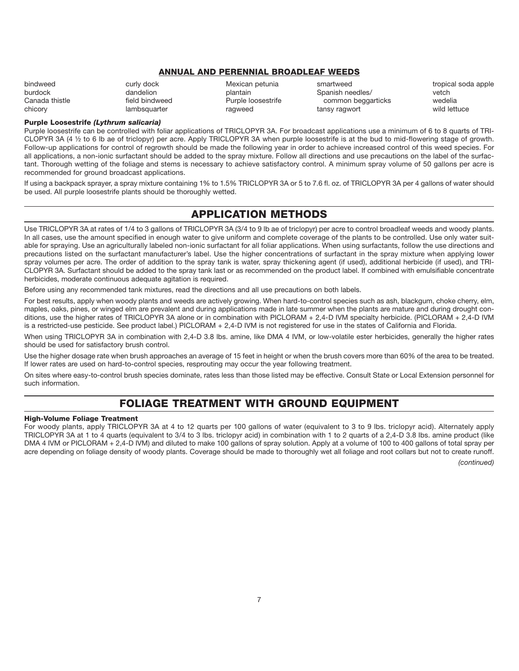### **ANNUAL AND PERENNIAL BROADLEAF WEEDS**

bindweed states of the curly dock the curly dock Mexican petunia the smartweed some tropical soda apple<br>
curly dandelion burdock burdock bankain Spanish needles/ states vetch Spanish needles/ Canada thistle **Field bindweed** Purple loosestrife common beggarticks wedelia chicory lambsquarter ragweed tansy ragwort wild lettuce

### **Purple Loosestrife** *(Lythrum salicaria)*

Purple loosestrife can be controlled with foliar applications of TRICLOPYR 3A. For broadcast applications use a minimum of 6 to 8 quarts of TRI-CLOPYR 3A (4 ½ to 6 lb ae of triclopyr) per acre. Apply TRICLOPYR 3A when purple loosestrife is at the bud to mid-flowering stage of growth. Follow-up applications for control of regrowth should be made the following year in order to achieve increased control of this weed species. For all applications, a non-ionic surfactant should be added to the spray mixture. Follow all directions and use precautions on the label of the surfactant. Thorough wetting of the foliage and stems is necessary to achieve satisfactory control. A minimum spray volume of 50 gallons per acre is recommended for ground broadcast applications.

If using a backpack sprayer, a spray mixture containing 1% to 1.5% TRICLOPYR 3A or 5 to 7.6 fl. oz. of TRICLOPYR 3A per 4 gallons of water should be used. All purple loosestrife plants should be thoroughly wetted.

# **APPLICATION METHODS**

Use TRICLOPYR 3A at rates of 1/4 to 3 gallons of TRICLOPYR 3A (3/4 to 9 lb ae of triclopyr) per acre to control broadleaf weeds and woody plants. In all cases, use the amount specified in enough water to give uniform and complete coverage of the plants to be controlled. Use only water suitable for spraying. Use an agriculturally labeled non-ionic surfactant for all foliar applications. When using surfactants, follow the use directions and precautions listed on the surfactant manufacturer's label. Use the higher concentrations of surfactant in the spray mixture when applying lower spray volumes per acre. The order of addition to the spray tank is water, spray thickening agent (if used), additional herbicide (if used), and TRI-CLOPYR 3A. Surfactant should be added to the spray tank last or as recommended on the product label. If combined with emulsifiable concentrate herbicides, moderate continuous adequate agitation is required.

Before using any recommended tank mixtures, read the directions and all use precautions on both labels.

For best results, apply when woody plants and weeds are actively growing. When hard-to-control species such as ash, blackgum, choke cherry, elm, maples, oaks, pines, or winged elm are prevalent and during applications made in late summer when the plants are mature and during drought conditions, use the higher rates of TRICLOPYR 3A alone or in combination with PICLORAM + 2,4-D IVM specialty herbicide. (PICLORAM + 2,4-D IVM is a restricted-use pesticide. See product label.) PICLORAM + 2,4-D IVM is not registered for use in the states of California and Florida.

When using TRICLOPYR 3A in combination with 2,4-D 3.8 lbs. amine, like DMA 4 IVM, or low-volatile ester herbicides, generally the higher rates should be used for satisfactory brush control.

Use the higher dosage rate when brush approaches an average of 15 feet in height or when the brush covers more than 60% of the area to be treated. If lower rates are used on hard-to-control species, resprouting may occur the year following treatment.

On sites where easy-to-control brush species dominate, rates less than those listed may be effective. Consult State or Local Extension personnel for such information.

# **FOLIAGE TREATMENT WITH GROUND EQUIPMENT**

### **High-Volume Foliage Treatment**

For woody plants, apply TRICLOPYR 3A at 4 to 12 quarts per 100 gallons of water (equivalent to 3 to 9 lbs. triclopyr acid). Alternately apply TRICLOPYR 3A at 1 to 4 quarts (equivalent to 3/4 to 3 lbs. triclopyr acid) in combination with 1 to 2 quarts of a 2,4-D 3.8 Ibs. amine product (like DMA 4 IVM or PICLORAM + 2,4-D IVM) and diluted to make 100 gallons of spray solution. Apply at a volume of 100 to 400 gallons of total spray per acre depending on foliage density of woody plants. Coverage should be made to thoroughly wet all foliage and root collars but not to create runoff.

*(continued)*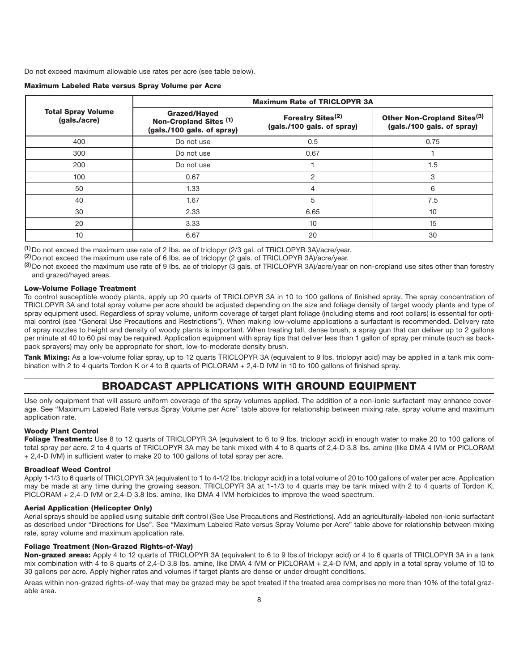Do not exceed maximum allowable use rates per acre (see table below).

| <b>Maximum Labeled Rate versus Spray Volume per Acre</b> |  |  |  |
|----------------------------------------------------------|--|--|--|
|----------------------------------------------------------|--|--|--|

|                                           | <b>Maximum Rate of TRICLOPYR 3A</b>                                         |                                                             |                                                                       |  |  |
|-------------------------------------------|-----------------------------------------------------------------------------|-------------------------------------------------------------|-----------------------------------------------------------------------|--|--|
| <b>Total Spray Volume</b><br>(gals./acre) | <b>Grazed/Hayed</b><br>Non-Cropland Sites (1)<br>(gals./100 gals. of spray) | Forestry Sites <sup>(2)</sup><br>(gals./100 gals. of spray) | Other Non-Cropland Sites <sup>(3)</sup><br>(gals./100 gals. of spray) |  |  |
| 400                                       | Do not use                                                                  | 0.5                                                         | 0.75                                                                  |  |  |
| 300                                       | Do not use                                                                  | 0.67                                                        |                                                                       |  |  |
| 200                                       | Do not use                                                                  |                                                             | 1.5                                                                   |  |  |
| 100                                       | 0.67                                                                        | 2                                                           | 3                                                                     |  |  |
| 50                                        | 1.33                                                                        | 4                                                           | 6                                                                     |  |  |
| 40                                        | 1.67                                                                        | 5                                                           | 7.5                                                                   |  |  |
| 30                                        | 2.33                                                                        | 6.65                                                        | 10                                                                    |  |  |
| 20                                        | 3.33                                                                        | 10                                                          | 15                                                                    |  |  |
| 10                                        | 6.67                                                                        | 20                                                          | 30                                                                    |  |  |

**(1)**Do not exceed the maximum use rate of 2 Ibs. ae of triclopyr (2/3 gal. of TRICLOPYR 3A)/acre/year.

**(2)**Do not exceed the maximum use rate of 6 Ibs. ae of triclopyr (2 gals. of TRICLOPYR 3A)/acre/year.

**(3)**Do not exceed the maximum use rate of 9 Ibs. ae of triclopyr (3 gals. of TRICLOPYR 3A)/acre/year on non-cropland use sites other than forestry and grazed/hayed areas.

### **Low-Volume Foliage Treatment**

To control susceptible woody plants, apply up 20 quarts of TRICLOPYR 3A in 10 to 100 gallons of finished spray. The spray concentration of TRICLOPYR 3A and total spray volume per acre should be adjusted depending on the size and foliage density of target woody plants and type of spray equipment used. Regardless of spray volume, uniform coverage of target plant foliage (including stems and root collars) is essential for optimal control (see "General Use Precautions and Restrictions"). When making low-volume applications a surfactant is recommended. Delivery rate of spray nozzles to height and density of woody plants is important. When treating tall, dense brush, a spray gun that can deliver up to 2 gallons per minute at 40 to 60 psi may be required. Application equipment with spray tips that deliver less than 1 gallon of spray per minute (such as backpack sprayers) may only be appropriate for short, low-to-moderate density brush.

**Tank Mixing:** As a low-volume foliar spray, up to 12 quarts TRICLOPYR 3A (equivalent to 9 lbs. triclopyr acid) may be applied in a tank mix combination with 2 to 4 quarts Tordon K or 4 to 8 quarts of PICLORAM + 2,4-D IVM in 10 to 100 gallons of finished spray.

# **BROADCAST APPLICATIONS WITH GROUND EQUIPMENT**

Use only equipment that will assure uniform coverage of the spray volumes applied. The addition of a non-ionic surfactant may enhance coverage. See "Maximum Labeled Rate versus Spray Volume per Acre" table above for relationship between mixing rate, spray volume and maximum application rate.

### **Woody Plant Control**

Foliage Treatment: Use 8 to 12 quarts of TRICLOPYR 3A (equivalent to 6 to 9 lbs. triclopyr acid) in enough water to make 20 to 100 gallons of total spray per acre. 2 to 4 quarts of TRICLOPYR 3A may be tank mixed with 4 to 8 quarts of 2,4-D 3.8 Ibs. amine (like DMA 4 IVM or PICLORAM + 2,4-D IVM) in sufficient water to make 20 to 100 gallons of total spray per acre.

### **Broadleaf Weed Control**

Apply 1-1/3 to 6 quarts of TRICLOPYR 3A (equivalent to 1 to 4-1/2 Ibs. triclopyr acid) in a total volume of 20 to 100 gallons of water per acre. Application may be made at any time during the growing season. TRICLOPYR 3A at 1-1/3 to 4 quarts may be tank mixed with 2 to 4 quarts of Tordon K, PICLORAM + 2,4-D IVM or 2,4-D 3.8 Ibs. amine, like DMA 4 IVM herbicides to improve the weed spectrum.

### **Aerial Application (Helicopter Only)**

Aerial sprays should be applied using suitable drift control (See Use Precautions and Restrictions). Add an agriculturally-labeled non-ionic surfactant as described under "Directions for Use". See "Maximum Labeled Rate versus Spray Volume per Acre" table above for relationship between mixing rate, spray volume and maximum application rate.

### **Foliage Treatment (Non-Grazed Rights-of-Way)**

**Non-grazed areas:** Apply 4 to 12 quarts of TRICLOPYR 3A (equivalent to 6 to 9 lbs.of triclopyr acid) or 4 to 6 quarts of TRICLOPYR 3A in a tank mix combination with 4 to 8 quarts of 2,4-D 3.8 Ibs. amine, like DMA 4 IVM or PICLORAM + 2,4-D IVM, and apply in a total spray volume of 10 to 30 gallons per acre. Apply higher rates and volumes if target plants are dense or under drought conditions.

Areas within non-grazed rights-of-way that may be grazed may be spot treated if the treated area comprises no more than 10% of the total grazable area.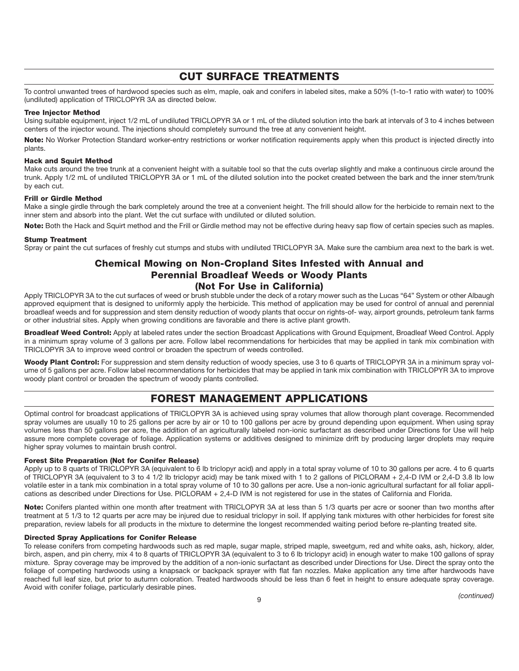# **CUT SURFACE TREATMENTS**

To control unwanted trees of hardwood species such as elm, maple, oak and conifers in labeled sites, make a 50% (1-to-1 ratio with water) to 100% (undiluted) application of TRICLOPYR 3A as directed below.

### **Tree Injector Method**

Using suitable equipment, inject 1/2 mL of undiluted TRICLOPYR 3A or 1 mL of the diluted solution into the bark at intervals of 3 to 4 inches between centers of the injector wound. The injections should completely surround the tree at any convenient height.

**Note:** No Worker Protection Standard worker-entry restrictions or worker notification requirements apply when this product is injected directly into plants.

### **Hack and Squirt Method**

Make cuts around the tree trunk at a convenient height with a suitable tool so that the cuts overlap slightly and make a continuous circle around the trunk. Apply 1/2 mL of undiluted TRICLOPYR 3A or 1 mL of the diluted solution into the pocket created between the bark and the inner stem/trunk by each cut.

### **Frill or Girdle Method**

Make a single girdle through the bark completely around the tree at a convenient height. The frill should allow for the herbicide to remain next to the inner stem and absorb into the plant. Wet the cut surface with undiluted or diluted solution.

**Note:** Both the Hack and Squirt method and the Frill or Girdle method may not be effective during heavy sap flow of certain species such as maples.

### **Stump Treatment**

Spray or paint the cut surfaces of freshly cut stumps and stubs with undiluted TRICLOPYR 3A. Make sure the cambium area next to the bark is wet.

# **Chemical Mowing on Non-Cropland Sites Infested with Annual and Perennial Broadleaf Weeds or Woody Plants (Not For Use in California)**

Apply TRICLOPYR 3A to the cut surfaces of weed or brush stubble under the deck of a rotary mower such as the Lucas "64" System or other Albaugh approved equipment that is designed to uniformly apply the herbicide. This method of application may be used for control of annual and perennial broadleaf weeds and for suppression and stem density reduction of woody plants that occur on rights-of- way, airport grounds, petroleum tank farms or other industrial sites. Apply when growing conditions are favorable and there is active plant growth.

**Broadleaf Weed Control:** Apply at labeled rates under the section Broadcast Applications with Ground Equipment, Broadleaf Weed Control. Apply in a minimum spray volume of 3 gallons per acre. Follow label recommendations for herbicides that may be applied in tank mix combination with TRICLOPYR 3A to improve weed control or broaden the spectrum of weeds controlled.

Woody Plant Control: For suppression and stem density reduction of woody species, use 3 to 6 quarts of TRICLOPYR 3A in a minimum spray volume of 5 gallons per acre. Follow label recommendations for herbicides that may be applied in tank mix combination with TRICLOPYR 3A to improve woody plant control or broaden the spectrum of woody plants controlled.

# **FOREST MANAGEMENT APPLICATIONS**

Optimal control for broadcast applications of TRICLOPYR 3A is achieved using spray volumes that allow thorough plant coverage. Recommended spray volumes are usually 10 to 25 gallons per acre by air or 10 to 100 gallons per acre by ground depending upon equipment. When using spray volumes less than 50 gallons per acre, the addition of an agriculturally labeled non-ionic surfactant as described under Directions for Use will help assure more complete coverage of foliage. Application systems or additives designed to minimize drift by producing larger droplets may require higher spray volumes to maintain brush control.

### **Forest Site Preparation (Not for Conifer Release)**

Apply up to 8 quarts of TRICLOPYR 3A (equivalent to 6 lb triclopyr acid) and apply in a total spray volume of 10 to 30 gallons per acre. 4 to 6 quarts of TRICLOPYR 3A (equivalent to 3 to 4 1/2 Ib triclopyr acid) may be tank mixed with 1 to 2 gallons of PICLORAM + 2,4-D IVM or 2,4-D 3.8 Ib low volatile ester in a tank mix combination in a total spray volume of 10 to 30 gallons per acre. Use a non-ionic agricultural surfactant for all foliar applications as described under Directions for Use. PICLORAM + 2,4-D IVM is not registered for use in the states of California and Florida.

**Note:** Conifers planted within one month after treatment with TRICLOPYR 3A at less than 5 1/3 quarts per acre or sooner than two months after treatment at 5 1/3 to 12 quarts per acre may be injured due to residual triclopyr in soil. If applying tank mixtures with other herbicides for forest site preparation, review labels for all products in the mixture to determine the longest recommended waiting period before re-planting treated site.

### **Directed Spray Applications for Conifer Release**

To release conifers from competing hardwoods such as red maple, sugar maple, striped maple, sweetgum, red and white oaks, ash, hickory, alder, birch, aspen, and pin cherry, mix 4 to 8 quarts of TRICLOPYR 3A (equivalent to 3 to 6 lb triclopyr acid) in enough water to make 100 gallons of spray mixture. Spray coverage may be improved by the addition of a non-ionic surfactant as described under Directions for Use. Direct the spray onto the foliage of competing hardwoods using a knapsack or backpack sprayer with flat fan nozzles. Make application any time after hardwoods have reached full leaf size, but prior to autumn coloration. Treated hardwoods should be less than 6 feet in height to ensure adequate spray coverage. Avoid with conifer foliage, particularly desirable pines.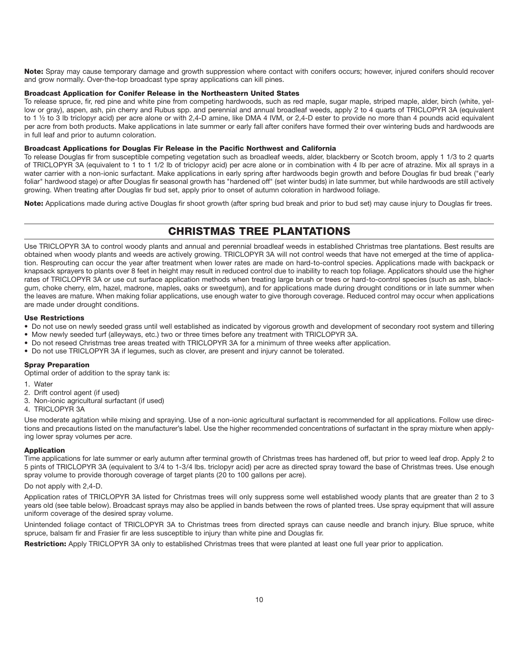**Note:** Spray may cause temporary damage and growth suppression where contact with conifers occurs; however, injured conifers should recover and grow normally. Over-the-top broadcast type spray applications can kill pines.

### **Broadcast Application for Conifer Release in the Northeastern United States**

To release spruce, fir, red pine and white pine from competing hardwoods, such as red maple, sugar maple, striped maple, alder, birch (white, yellow or gray), aspen, ash, pin cherry and Rubus spp. and perennial and annual broadleaf weeds, apply 2 to 4 quarts of TRICLOPYR 3A (equivalent to 1 ½ to 3 lb triclopyr acid) per acre alone or with 2,4-D amine, like DMA 4 IVM, or 2,4-D ester to provide no more than 4 pounds acid equivalent per acre from both products. Make applications in late summer or early fall after conifers have formed their over wintering buds and hardwoods are in full leaf and prior to autumn coloration.

### **Broadcast Applications for Douglas Fir Release in the Pacific Northwest and California**

To release Douglas fir from susceptible competing vegetation such as broadleaf weeds, alder, blackberry or Scotch broom, apply 1 1/3 to 2 quarts of TRICLOPYR 3A (equivalent to 1 to 1 1/2 lb of triclopyr acid) per acre alone or in combination with 4 Ib per acre of atrazine. Mix all sprays in a water carrier with a non-ionic surfactant. Make applications in early spring after hardwoods begin growth and before Douglas fir bud break ("early foliar" hardwood stage) or after Douglas fir seasonal growth has "hardened off" (set winter buds) in late summer, but while hardwoods are still actively growing. When treating after Douglas fir bud set, apply prior to onset of autumn coloration in hardwood foliage.

**Note:** Applications made during active Douglas fir shoot growth (after spring bud break and prior to bud set) may cause injury to Douglas fir trees.

# **CHRISTMAS TREE PLANTATIONS**

Use TRICLOPYR 3A to control woody plants and annual and perennial broadleaf weeds in established Christmas tree plantations. Best results are obtained when woody plants and weeds are actively growing. TRICLOPYR 3A will not control weeds that have not emerged at the time of application. Resprouting can occur the year after treatment when lower rates are made on hard-to-control species. Applications made with backpack or knapsack sprayers to plants over 8 feet in height may result in reduced control due to inability to reach top foliage. Applicators should use the higher rates of TRICLOPYR 3A or use cut surface application methods when treating large brush or trees or hard-to-control species (such as ash, blackgum, choke cherry, elm, hazel, madrone, maples, oaks or sweetgum), and for applications made during drought conditions or in late summer when the leaves are mature. When making foliar applications, use enough water to give thorough coverage. Reduced control may occur when applications are made under drought conditions.

### **Use Restrictions**

- Do not use on newly seeded grass until well established as indicated by vigorous growth and development of secondary root system and tillering
- Mow newly seeded turf (alleyways, etc.) two or three times before any treatment with TRICLOPYR 3A.
- Do not reseed Christmas tree areas treated with TRICLOPYR 3A for a minimum of three weeks after application.
- Do not use TRICLOPYR 3A if legumes, such as clover, are present and injury cannot be tolerated.

### **Spray Preparation**

Optimal order of addition to the spray tank is:

- 1. Water
- 2. Drift control agent (if used)
- 3. Non-ionic agricultural surfactant (if used)
- 4. TRICLOPYR 3A

Use moderate agitation while mixing and spraying. Use of a non-ionic agricultural surfactant is recommended for all applications. Follow use directions and precautions listed on the manufacturer's label. Use the higher recommended concentrations of surfactant in the spray mixture when applying lower spray volumes per acre.

### **Application**

Time applications for late summer or early autumn after terminal growth of Christmas trees has hardened off, but prior to weed leaf drop. Apply 2 to 5 pints of TRICLOPYR 3A (equivalent to 3/4 to 1-3/4 lbs. triclopyr acid) per acre as directed spray toward the base of Christmas trees. Use enough spray volume to provide thorough coverage of target plants (20 to 100 gallons per acre).

Do not apply with 2,4-D.

Application rates of TRICLOPYR 3A listed for Christmas trees will only suppress some well established woody plants that are greater than 2 to 3 years old (see table below). Broadcast sprays may also be applied in bands between the rows of planted trees. Use spray equipment that will assure uniform coverage of the desired spray volume.

Unintended foliage contact of TRICLOPYR 3A to Christmas trees from directed sprays can cause needle and branch injury. Blue spruce, white spruce, balsam fir and Frasier fir are less susceptible to injury than white pine and Douglas fir.

**Restriction:** Apply TRICLOPYR 3A only to established Christmas trees that were planted at least one full year prior to application.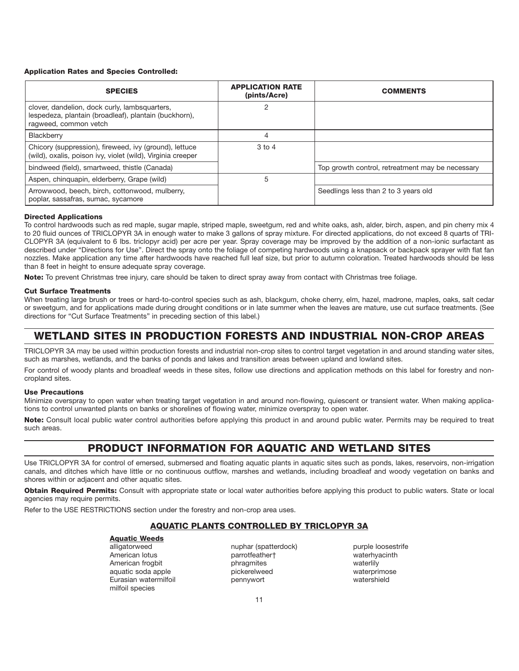### **Application Rates and Species Controlled:**

| <b>SPECIES</b>                                                                                                                  | <b>APPLICATION RATE</b><br>(pints/Acre) | <b>COMMENTS</b>                                  |
|---------------------------------------------------------------------------------------------------------------------------------|-----------------------------------------|--------------------------------------------------|
| clover, dandelion, dock curly, lambsquarters,<br>lespedeza, plantain (broadleaf), plantain (buckhorn),<br>ragweed, common vetch | 2                                       |                                                  |
| Blackberry                                                                                                                      | 4                                       |                                                  |
| Chicory (suppression), fireweed, ivy (ground), lettuce<br>(wild), oxalis, poison ivy, violet (wild), Virginia creeper           | $3$ to $4$                              |                                                  |
| bindweed (field), smartweed, thistle (Canada)                                                                                   |                                         | Top growth control, retreatment may be necessary |
| Aspen, chinguapin, elderberry, Grape (wild)                                                                                     | 5                                       |                                                  |
| Arrowwood, beech, birch, cottonwood, mulberry,<br>poplar, sassafras, sumac, sycamore                                            |                                         | Seedlings less than 2 to 3 years old             |

### **Directed Applications**

To control hardwoods such as red maple, sugar maple, striped maple, sweetgum, red and white oaks, ash, alder, birch, aspen, and pin cherry mix 4 to 20 fluid ounces of TRICLOPYR 3A in enough water to make 3 gallons of spray mixture. For directed applications, do not exceed 8 quarts of TRI-CLOPYR 3A (equivalent to 6 lbs. triclopyr acid) per acre per year. Spray coverage may be improved by the addition of a non-ionic surfactant as described under "Directions for Use". Direct the spray onto the foliage of competing hardwoods using a knapsack or backpack sprayer with flat fan nozzles. Make application any time after hardwoods have reached full leaf size, but prior to autumn coloration. Treated hardwoods should be less than 8 feet in height to ensure adequate spray coverage.

**Note:** To prevent Christmas tree injury, care should be taken to direct spray away from contact with Christmas tree foliage.

### **Cut Surface Treatments**

When treating large brush or trees or hard-to-control species such as ash, blackgum, choke cherry, elm, hazel, madrone, maples, oaks, salt cedar or sweetgum, and for applications made during drought conditions or in late summer when the leaves are mature, use cut surface treatments. (See directions for "Cut Surface Treatments" in preceding section of this label.)

# **WETLAND SITES IN PRODUCTION FORESTS AND INDUSTRIAL NON-CROP AREAS**

TRICLOPYR 3A may be used within production forests and industrial non-crop sites to control target vegetation in and around standing water sites, such as marshes, wetlands, and the banks of ponds and lakes and transition areas between upland and lowland sites.

For control of woody plants and broadleaf weeds in these sites, follow use directions and application methods on this label for forestry and noncropland sites.

### **Use Precautions**

Minimize overspray to open water when treating target vegetation in and around non-flowing, quiescent or transient water. When making applications to control unwanted plants on banks or shorelines of flowing water, minimize overspray to open water.

**Note:** Consult local public water control authorities before applying this product in and around public water. Permits may be required to treat such areas.

# **PRODUCT INFORMATION FOR AQUATIC AND WETLAND SITES**

Use TRICLOPYR 3A for control of emersed, submersed and floating aquatic plants in aquatic sites such as ponds, lakes, reservoirs, non-irrigation canals, and ditches which have little or no continuous outflow, marshes and wetlands, including broadleaf and woody vegetation on banks and shores within or adjacent and other aquatic sites.

**Obtain Required Permits:** Consult with appropriate state or local water authorities before applying this product to public waters. State or local agencies may require permits.

Refer to the USE RESTRICTIONS section under the forestry and non-crop area uses.

### **AQUATIC PLANTS CONTROLLED BY TRICLOPYR 3A**

# **Aquatic Weeds**<br>alligatorweed

American lotus parrotfeather† waterhyacintherican intervention of the parrotfeather<br>American froqbit by phragmites by phragmites waterlily American frogbit phragmites aquatic soda apple pickerelweed waterprimose Eurasian watermilfoil pennywort watershield milfoil species

nuphar (spatterdock) purple loosestrife<br>parrotfeathert maternyacinth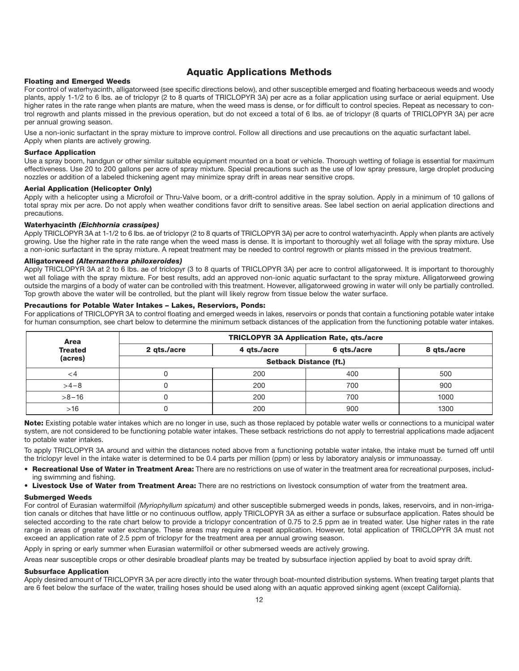# **Aquatic Applications Methods**

### **Floating and Emerged Weeds**

For control of waterhyacinth, alligatorweed (see specific directions below), and other susceptible emerged and floating herbaceous weeds and woody plants, apply 1-1/2 to 6 lbs. ae of triclopyr (2 to 8 quarts of TRICLOPYR 3A) per acre as a foliar application using surface or aerial equipment. Use higher rates in the rate range when plants are mature, when the weed mass is dense, or for difficult to control species. Repeat as necessary to control regrowth and plants missed in the previous operation, but do not exceed a total of 6 lbs. ae of triclopyr (8 quarts of TRICLOPYR 3A) per acre per annual growing season.

Use a non-ionic surfactant in the spray mixture to improve control. Follow all directions and use precautions on the aquatic surfactant label. Apply when plants are actively growing.

### **Surface Application**

Use a spray boom, handgun or other similar suitable equipment mounted on a boat or vehicle. Thorough wetting of foliage is essential for maximum effectiveness. Use 20 to 200 gallons per acre of spray mixture. Special precautions such as the use of low spray pressure, large droplet producing nozzles or addition of a labeled thickening agent may minimize spray drift in areas near sensitive crops.

### **Aerial Application (Helicopter Only)**

Apply with a helicopter using a Microfoil or Thru-Valve boom, or a drift-control additive in the spray solution. Apply in a minimum of 10 gallons of total spray mix per acre. Do not apply when weather conditions favor drift to sensitive areas. See label section on aerial application directions and precautions.

### **Waterhyacinth** *(Eichhornia crassipes)*

Apply TRICLOPYR 3A at 1-1/2 to 6 lbs. ae of triclopyr (2 to 8 quarts of TRICLOPYR 3A) per acre to control waterhyacinth. Apply when plants are actively growing. Use the higher rate in the rate range when the weed mass is dense. It is important to thoroughly wet all foliage with the spray mixture. Use a non-ionic surfactant in the spray mixture. A repeat treatment may be needed to control regrowth or plants missed in the previous treatment.

### **Alligatorweed** *(Alternanthera philoxeroides)*

Apply TRICLOPYR 3A at 2 to 6 lbs. ae of triclopyr (3 to 8 quarts of TRICLOPYR 3A) per acre to control alligatorweed. It is important to thoroughly wet all foliage with the spray mixture. For best results, add an approved non-ionic aquatic surfactant to the spray mixture. Alligatorweed growing outside the margins of a body of water can be controlled with this treatment. However, alligatorweed growing in water will only be partially controlled. Top growth above the water will be controlled, but the plant will likely regrow from tissue below the water surface.

### **Precautions for Potable Water Intakes – Lakes, Reserviors, Ponds:**

For applications of TRICLOPYR 3A to control floating and emerged weeds in lakes, reservoirs or ponds that contain a functioning potable water intake for human consumption, see chart below to determine the minimum setback distances of the application from the functioning potable water intakes.

| <b>Area</b>    | <b>TRICLOPYR 3A Application Rate, gts./acre</b> |             |             |             |  |  |
|----------------|-------------------------------------------------|-------------|-------------|-------------|--|--|
| <b>Treated</b> | 2 gts./acre                                     | 4 gts./acre | 6 qts./acre | 8 gts./acre |  |  |
| (acres)        | <b>Setback Distance (ft.)</b>                   |             |             |             |  |  |
|                |                                                 | 200         | 400         | 500         |  |  |
| $>4-8$         |                                                 | 200         | 700         | 900         |  |  |
| $>8 - 16$      |                                                 | 200         | 700         | 1000        |  |  |
| >16            |                                                 | 200         | 900         | 1300        |  |  |

**Note:** Existing potable water intakes which are no longer in use, such as those replaced by potable water wells or connections to a municipal water system, are not considered to be functioning potable water intakes. These setback restrictions do not apply to terrestrial applications made adjacent to potable water intakes.

To apply TRICLOPYR 3A around and within the distances noted above from a functioning potable water intake, the intake must be turned off until the triclopyr level in the intake water is determined to be 0.4 parts per million (ppm) or less by laboratory analysis or immunoassay.

- **Recreational Use of Water in Treatment Area:** There are no restrictions on use of water in the treatment area for recreational purposes, including swimming and fishing.
- **Livestock Use of Water from Treatment Area:** There are no restrictions on livestock consumption of water from the treatment area.

### **Submerged Weeds**

For control of Eurasian watermilfoil *(Myriophyllum spicatum)* and other susceptible submerged weeds in ponds, lakes, reservoirs, and in non-irrigation canals or ditches that have little or no continuous outflow, apply TRICLOPYR 3A as either a surface or subsurface application. Rates should be selected according to the rate chart below to provide a triclopyr concentration of 0.75 to 2.5 ppm ae in treated water. Use higher rates in the rate range in areas of greater water exchange. These areas may require a repeat application. However, total application of TRICLOPYR 3A must not exceed an application rate of 2.5 ppm of triclopyr for the treatment area per annual growing season.

Apply in spring or early summer when Eurasian watermilfoil or other submersed weeds are actively growing.

Areas near susceptible crops or other desirable broadleaf plants may be treated by subsurface injection applied by boat to avoid spray drift.

### **Subsurface Application**

Apply desired amount of TRICLOPYR 3A per acre directly into the water through boat-mounted distribution systems. When treating target plants that are 6 feet below the surface of the water, trailing hoses should be used along with an aquatic approved sinking agent (except California).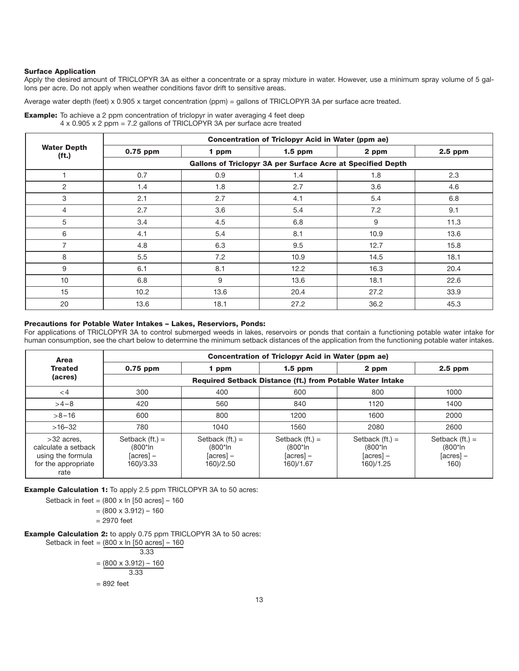### **Surface Application**

Apply the desired amount of TRICLOPYR 3A as either a concentrate or a spray mixture in water. However, use a minimum spray volume of 5 gallons per acre. Do not apply when weather conditions favor drift to sensitive areas.

Average water depth (feet) x 0.905 x target concentration (ppm) = gallons of TRICLOPYR 3A per surface acre treated.

| <b>Example:</b> To achieve a 2 ppm concentration of triclopyr in water averaging 4 feet deep |  |  |  |
|----------------------------------------------------------------------------------------------|--|--|--|
| $4 \times 0.905 \times 2$ ppm = 7.2 gallons of TRICLOPYR 3A per surface acre treated         |  |  |  |

|                                         |            |       | Concentration of Triclopyr Acid in Water (ppm ae)           |       |         |
|-----------------------------------------|------------|-------|-------------------------------------------------------------|-------|---------|
| <b>Water Depth</b><br>(f <sub>t</sub> ) | $0.75$ ppm | 1 ppm | $1.5$ ppm                                                   | 2 ppm | 2.5 ppm |
|                                         |            |       | Gallons of Triclopyr 3A per Surface Acre at Specified Depth |       |         |
|                                         | 0.7        | 0.9   | 1.4                                                         | 1.8   | 2.3     |
| 2                                       | 1.4        | 1.8   | 2.7                                                         | 3.6   | 4.6     |
| 3                                       | 2.1        | 2.7   | 4.1                                                         | 5.4   | 6.8     |
| $\overline{4}$                          | 2.7        | 3.6   | 5.4                                                         | 7.2   | 9.1     |
| 5                                       | 3.4        | 4.5   | 6.8                                                         | 9     | 11.3    |
| 6                                       | 4.1        | 5.4   | 8.1                                                         | 10.9  | 13.6    |
| $\overline{7}$                          | 4.8        | 6.3   | 9.5                                                         | 12.7  | 15.8    |
| 8                                       | 5.5        | 7.2   | 10.9                                                        | 14.5  | 18.1    |
| 9                                       | 6.1        | 8.1   | 12.2                                                        | 16.3  | 20.4    |
| 10                                      | 6.8        | 9     | 13.6                                                        | 18.1  | 22.6    |
| 15                                      | 10.2       | 13.6  | 20.4                                                        | 27.2  | 33.9    |
| 20                                      | 13.6       | 18.1  | 27.2                                                        | 36.2  | 45.3    |

### **Precautions for Potable Water Intakes – Lakes, Reserviors, Ponds:**

For applications of TRICLOPYR 3A to control submerged weeds in lakes, reservoirs or ponds that contain a functioning potable water intake for human consumption, see the chart below to determine the minimum setback distances of the application from the functioning potable water intakes.

| Area                                                                                    |                                                          |                                                          | Concentration of Triclopyr Acid in Water (ppm ae)            |                                                              |                                                     |
|-----------------------------------------------------------------------------------------|----------------------------------------------------------|----------------------------------------------------------|--------------------------------------------------------------|--------------------------------------------------------------|-----------------------------------------------------|
| <b>Treated</b>                                                                          | $0.75$ ppm                                               | 1 ppm                                                    | $1.5$ ppm                                                    | 2 ppm                                                        | $2.5$ ppm                                           |
| (acres)                                                                                 |                                                          |                                                          | Required Setback Distance (ft.) from Potable Water Intake    |                                                              |                                                     |
| $<$ 4                                                                                   | 300                                                      | 400                                                      | 600                                                          | 800                                                          | 1000                                                |
| $>4-8$                                                                                  | 420                                                      | 560                                                      | 840                                                          | 1120                                                         | 1400                                                |
| $>8 - 16$                                                                               | 600                                                      | 800                                                      | 1200                                                         | 1600                                                         | 2000                                                |
| $>16-32$                                                                                | 780                                                      | 1040                                                     | 1560                                                         | 2080                                                         | 2600                                                |
| $>32$ acres.<br>calculate a setback<br>using the formula<br>for the appropriate<br>rate | Setback $(ft.) =$<br>(800*ln<br>$[acres] -$<br>160)/3.33 | Setback $(ft.) =$<br>(800*ln<br>$[acres] -$<br>160)/2.50 | Setback $(ft.) =$<br>$(800^*$ In<br>$[acres] -$<br>160)/1.67 | Setback $(ft.) =$<br>$(800^*$ In<br>$[acres] -$<br>160)/1.25 | Setback $(ft.) =$<br>(800*ln<br>$[acres]$ –<br>160) |

**Example Calculation 1:** To apply 2.5 ppm TRICLOPYR 3A to 50 acres:

Setback in feet =  $(800 \times \ln{50} \text{ acres}] - 160$ 

 $= (800 \times 3.912) - 160$ 

= 2970 feet

**Example Calculation 2:** to apply 0.75 ppm TRICLOPYR 3A to 50 acres:

Setback in feet =  $(800 \times \ln{50} \text{ acres}] - 160$ 3.33  $= (800 \times 3.912) - 160$ 3.33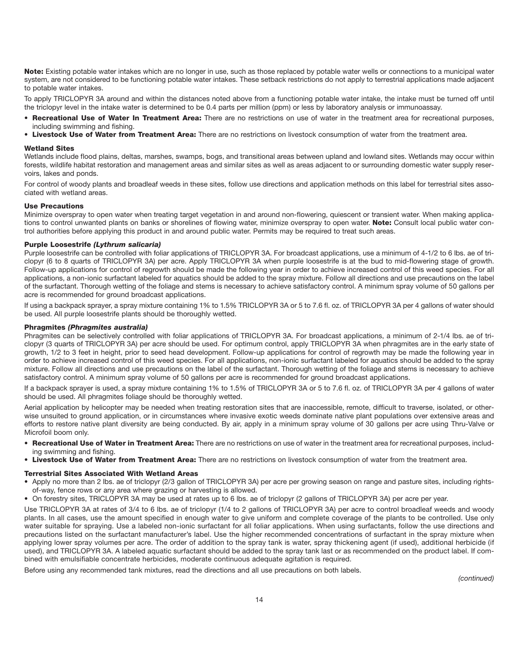**Note:** Existing potable water intakes which are no longer in use, such as those replaced by potable water wells or connections to a municipal water system, are not considered to be functioning potable water intakes. These setback restrictions do not apply to terrestrial applications made adjacent to potable water intakes.

To apply TRICLOPYR 3A around and within the distances noted above from a functioning potable water intake, the intake must be turned off until the triclopyr level in the intake water is determined to be 0.4 parts per million (ppm) or less by laboratory analysis or immunoassay.

- **Recreational Use of Water In Treatment Area:** There are no restrictions on use of water in the treatment area for recreational purposes, including swimming and fishing.
- **Livestock Use of Water from Treatment Area:** There are no restrictions on livestock consumption of water from the treatment area.

### **Wetland Sites**

Wetlands include flood plains, deltas, marshes, swamps, bogs, and transitional areas between upland and lowland sites. Wetlands may occur within forests, wildlife habitat restoration and management areas and similar sites as well as areas adjacent to or surrounding domestic water supply reservoirs, lakes and ponds.

For control of woody plants and broadleaf weeds in these sites, follow use directions and application methods on this label for terrestrial sites associated with wetland areas.

### **Use Precautions**

Minimize overspray to open water when treating target vegetation in and around non-flowering, quiescent or transient water. When making applications to control unwanted plants on banks or shorelines of flowing water, minimize overspray to open water. **Note:** Consult local public water control authorities before applying this product in and around public water. Permits may be required to treat such areas.

### **Purple Loosestrife** *(Lythrum salicaria)*

Purple loosestrife can be controlled with foliar applications of TRICLOPYR 3A. For broadcast applications, use a minimum of 4-1/2 to 6 lbs. ae of triclopyr (6 to 8 quarts of TRICLOPYR 3A) per acre. Apply TRICLOPYR 3A when purple loosestrife is at the bud to mid-flowering stage of growth. Follow-up applications for control of regrowth should be made the following year in order to achieve increased control of this weed species. For all applications, a non-ionic surfactant labeled for aquatics should be added to the spray mixture. Follow all directions and use precautions on the label of the surfactant. Thorough wetting of the foliage and stems is necessary to achieve satisfactory control. A minimum spray volume of 50 gallons per acre is recommended for ground broadcast applications.

If using a backpack sprayer, a spray mixture containing 1% to 1.5% TRICLOPYR 3A or 5 to 7.6 fl. oz. of TRICLOPYR 3A per 4 gallons of water should be used. All purple loosestrife plants should be thoroughly wetted.

### **Phragmites** *(Phragmites australia)*

Phragmites can be selectively controlled with foliar applications of TRICLOPYR 3A. For broadcast applications, a minimum of 2-1/4 lbs. ae of triclopyr (3 quarts of TRICLOPYR 3A) per acre should be used. For optimum control, apply TRICLOPYR 3A when phragmites are in the early state of growth, 1/2 to 3 feet in height, prior to seed head development. Follow-up applications for control of regrowth may be made the following year in order to achieve increased control of this weed species. For all applications, non-ionic surfactant labeled for aquatics should be added to the spray mixture. Follow all directions and use precautions on the label of the surfactant. Thorough wetting of the foliage and stems is necessary to achieve satisfactory control. A minimum spray volume of 50 gallons per acre is recommended for ground broadcast applications.

If a backpack sprayer is used, a spray mixture containing 1% to 1.5% of TRICLOPYR 3A or 5 to 7.6 fl. oz. of TRICLOPYR 3A per 4 gallons of water should be used. All phragmites foliage should be thoroughly wetted.

Aerial application by helicopter may be needed when treating restoration sites that are inaccessible, remote, difficult to traverse, isolated, or otherwise unsuited to ground application, or in circumstances where invasive exotic weeds dominate native plant populations over extensive areas and efforts to restore native plant diversity are being conducted. By air, apply in a minimum spray volume of 30 gallons per acre using Thru-Valve or Microfoil boom only.

- **Recreational Use of Water in Treatment Area:** There are no restrictions on use of water in the treatment area for recreational purposes, including swimming and fishing.
- **Livestock Use of Water from Treatment Area:** There are no restrictions on livestock consumption of water from the treatment area.

### **Terrestrial Sites Associated With Wetland Areas**

- Apply no more than 2 lbs. ae of triclopyr (2/3 gallon of TRICLOPYR 3A) per acre per growing season on range and pasture sites, including rightsof-way, fence rows or any area where grazing or harvesting is allowed.
- On forestry sites, TRICLOPYR 3A may be used at rates up to 6 lbs. ae of triclopyr (2 gallons of TRICLOPYR 3A) per acre per year.

Use TRICLOPYR 3A at rates of 3/4 to 6 lbs. ae of triclopyr (1/4 to 2 gallons of TRICLOPYR 3A) per acre to control broadleaf weeds and woody plants. In all cases, use the amount specified in enough water to give uniform and complete coverage of the plants to be controlled. Use only water suitable for spraying. Use a labeled non-ionic surfactant for all foliar applications. When using surfactants, follow the use directions and precautions listed on the surfactant manufacturer's label. Use the higher recommended concentrations of surfactant in the spray mixture when applying lower spray volumes per acre. The order of addition to the spray tank is water, spray thickening agent (if used), additional herbicide (if used), and TRICLOPYR 3A. A labeled aquatic surfactant should be added to the spray tank last or as recommended on the product label. If combined with emulsifiable concentrate herbicides, moderate continuous adequate agitation is required.

Before using any recommended tank mixtures, read the directions and all use precautions on both labels.